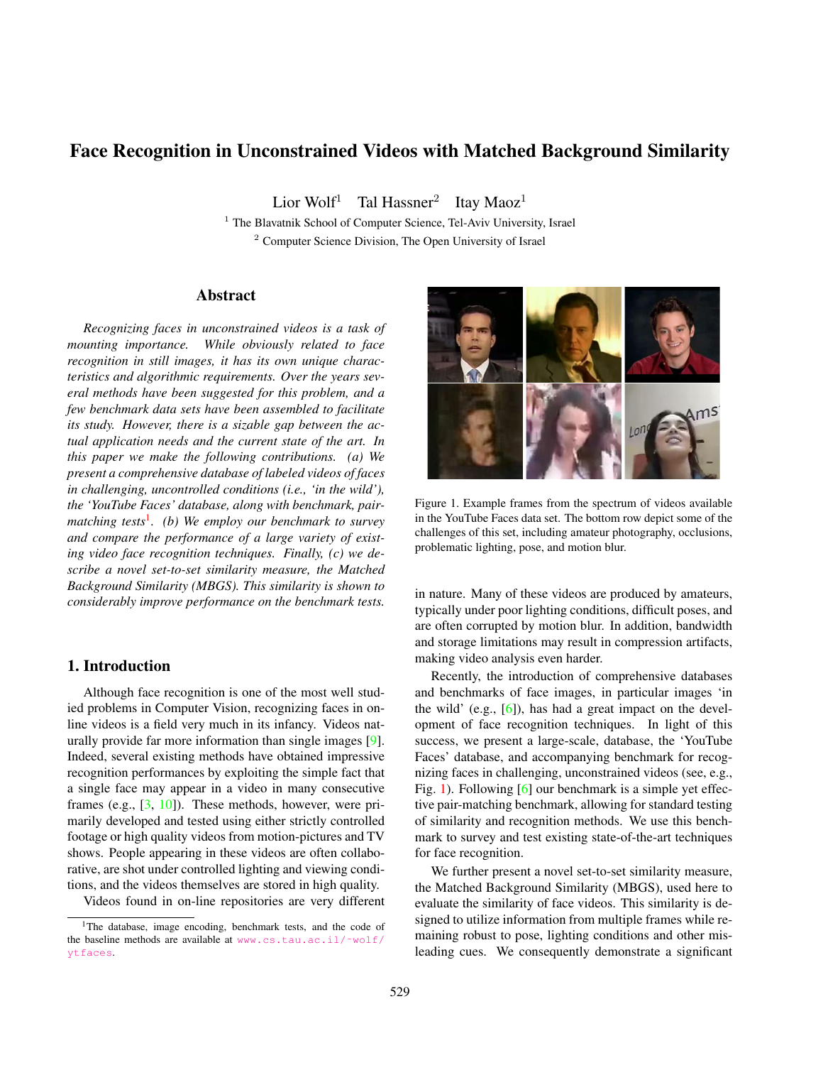# <span id="page-0-2"></span>Face Recognition in Unconstrained Videos with Matched Background Similarity

Lior Wolf<sup>1</sup> Tal Hassner<sup>2</sup> Itay Maoz<sup>1</sup>

<sup>1</sup> The Blavatnik School of Computer Science, Tel-Aviv University, Israel <sup>2</sup> Computer Science Division, The Open University of Israel

## Abstract

*Recognizing faces in unconstrained videos is a task of mounting importance. While obviously related to face recognition in still images, it has its own unique characteristics and algorithmic requirements. Over the years several methods have been suggested for this problem, and a few benchmark data sets have been assembled to facilitate its study. However, there is a sizable gap between the actual application needs and the current state of the art. In this paper we make the following contributions. (a) We present a comprehensive database of labeled videos of faces in challenging, uncontrolled conditions (i.e., 'in the wild'), the 'YouTube Faces' database, along with benchmark, pairmatching tests*[1](#page-0-0) *. (b) We employ our benchmark to survey and compare the performance of a large variety of existing video face recognition techniques. Finally, (c) we describe a novel set-to-set similarity measure, the Matched Background Similarity (MBGS). This similarity is shown to considerably improve performance on the benchmark tests.*

## 1. Introduction

Although face recognition is one of the most well studied problems in Computer Vision, recognizing faces in online videos is a field very much in its infancy. Videos naturally provide far more information than single images [\[9\]](#page-5-0). Indeed, several existing methods have obtained impressive recognition performances by exploiting the simple fact that a single face may appear in a video in many consecutive frames (e.g., [\[3,](#page-5-1) [10\]](#page-5-2)). These methods, however, were primarily developed and tested using either strictly controlled footage or high quality videos from motion-pictures and TV shows. People appearing in these videos are often collaborative, are shot under controlled lighting and viewing conditions, and the videos themselves are stored in high quality.

Videos found in on-line repositories are very different



Figure 1. Example frames from the spectrum of videos available in the YouTube Faces data set. The bottom row depict some of the challenges of this set, including amateur photography, occlusions, problematic lighting, pose, and motion blur.

<span id="page-0-1"></span>in nature. Many of these videos are produced by amateurs, typically under poor lighting conditions, difficult poses, and are often corrupted by motion blur. In addition, bandwidth and storage limitations may result in compression artifacts, making video analysis even harder.

Recently, the introduction of comprehensive databases and benchmarks of face images, in particular images 'in the wild' (e.g., [\[6\]](#page-5-3)), has had a great impact on the development of face recognition techniques. In light of this success, we present a large-scale, database, the 'YouTube Faces' database, and accompanying benchmark for recognizing faces in challenging, unconstrained videos (see, e.g., Fig. [1\)](#page-0-1). Following [\[6\]](#page-5-3) our benchmark is a simple yet effective pair-matching benchmark, allowing for standard testing of similarity and recognition methods. We use this benchmark to survey and test existing state-of-the-art techniques for face recognition.

We further present a novel set-to-set similarity measure, the Matched Background Similarity (MBGS), used here to evaluate the similarity of face videos. This similarity is designed to utilize information from multiple frames while remaining robust to pose, lighting conditions and other misleading cues. We consequently demonstrate a significant

<span id="page-0-0"></span><sup>&</sup>lt;sup>1</sup>The database, image encoding, benchmark tests, and the code of the baseline methods are available at www.cs.tau.ac.il/~wolf/ [ytfaces](www.cs.tau.ac.il/~wolf/ytfaces).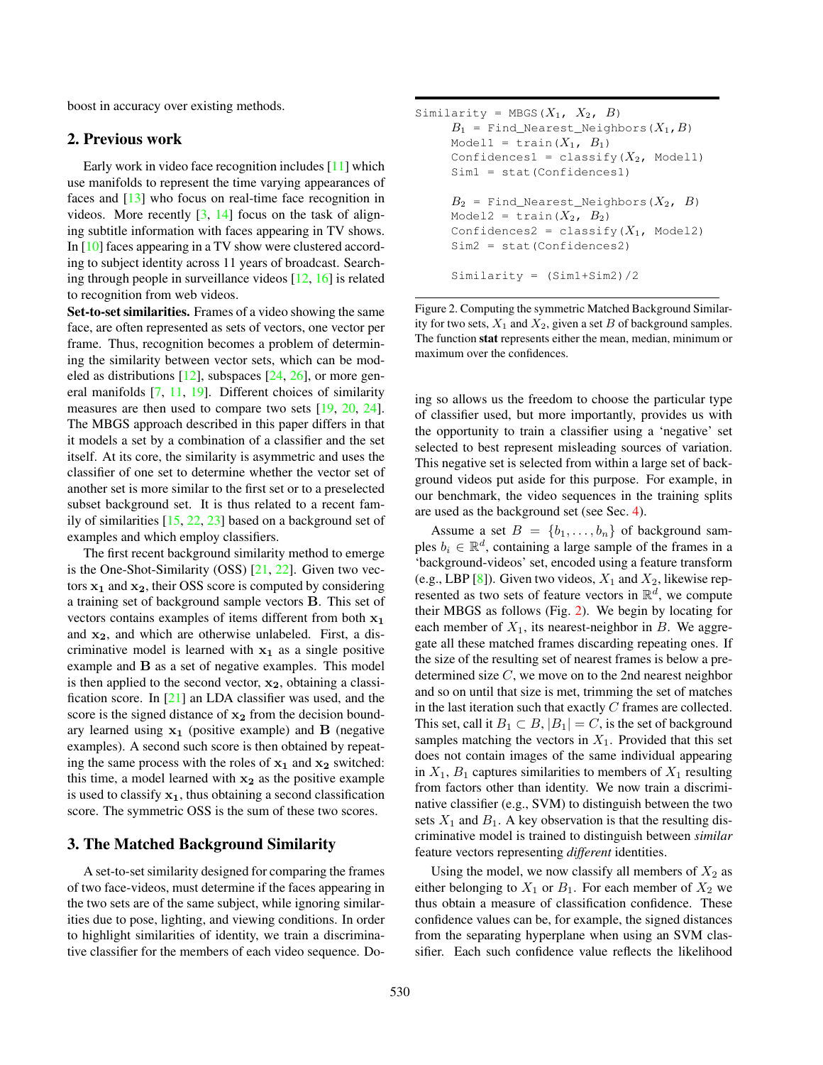<span id="page-1-1"></span>boost in accuracy over existing methods.

### 2. Previous work

Early work in video face recognition includes [\[11\]](#page-5-4) which use manifolds to represent the time varying appearances of faces and [\[13\]](#page-5-5) who focus on real-time face recognition in videos. More recently [\[3,](#page-5-1) [14\]](#page-5-6) focus on the task of aligning subtitle information with faces appearing in TV shows. In [\[10\]](#page-5-2) faces appearing in a TV show were clustered according to subject identity across 11 years of broadcast. Searching through people in surveillance videos [\[12,](#page-5-7) [16\]](#page-5-8) is related to recognition from web videos.

Set-to-set similarities. Frames of a video showing the same face, are often represented as sets of vectors, one vector per frame. Thus, recognition becomes a problem of determining the similarity between vector sets, which can be modeled as distributions  $[12]$ , subspaces  $[24, 26]$  $[24, 26]$  $[24, 26]$ , or more general manifolds [\[7,](#page-5-11) [11,](#page-5-4) [19\]](#page-5-12). Different choices of similarity measures are then used to compare two sets [\[19,](#page-5-12) [20,](#page-5-13) [24\]](#page-5-9). The MBGS approach described in this paper differs in that it models a set by a combination of a classifier and the set itself. At its core, the similarity is asymmetric and uses the classifier of one set to determine whether the vector set of another set is more similar to the first set or to a preselected subset background set. It is thus related to a recent family of similarities [\[15,](#page-5-14) [22,](#page-5-15) [23\]](#page-5-16) based on a background set of examples and which employ classifiers.

The first recent background similarity method to emerge is the One-Shot-Similarity  $(OSS)$   $[21, 22]$  $[21, 22]$  $[21, 22]$ . Given two vectors  $x_1$  and  $x_2$ , their OSS score is computed by considering a training set of background sample vectors B. This set of vectors contains examples of items different from both  $x_1$ and  $x_2$ , and which are otherwise unlabeled. First, a discriminative model is learned with  $x_1$  as a single positive example and B as a set of negative examples. This model is then applied to the second vector,  $x_2$ , obtaining a classification score. In [\[21\]](#page-5-17) an LDA classifier was used, and the score is the signed distance of  $x_2$  from the decision boundary learned using  $x_1$  (positive example) and  $B$  (negative examples). A second such score is then obtained by repeating the same process with the roles of  $x_1$  and  $x_2$  switched: this time, a model learned with  $x_2$  as the positive example is used to classify  $x_1$ , thus obtaining a second classification score. The symmetric OSS is the sum of these two scores.

#### 3. The Matched Background Similarity

A set-to-set similarity designed for comparing the frames of two face-videos, must determine if the faces appearing in the two sets are of the same subject, while ignoring similarities due to pose, lighting, and viewing conditions. In order to highlight similarities of identity, we train a discriminative classifier for the members of each video sequence. Do-

```
Similarity = MBGS(X_1, X_2, B)
B_1 = Find_Nearest_Neighbors(X_1, B)
Model1 = train(X_1, B_1)Confidences1 = classify (X_2, \text{Model1})Sim1 = stat(Confidences1)
B_2 = Find_Nearest_Neighbors(X_2, B)
Model2 = train(X_2, B_2)Confidences2 = classify(X_1, Model2)
Sim2 = stat(Confidences2)
Similarity = (Sim1+Sim2)/2
```
<span id="page-1-0"></span>

ing so allows us the freedom to choose the particular type of classifier used, but more importantly, provides us with the opportunity to train a classifier using a 'negative' set selected to best represent misleading sources of variation. This negative set is selected from within a large set of background videos put aside for this purpose. For example, in our benchmark, the video sequences in the training splits are used as the background set (see Sec. [4\)](#page-2-0).

Assume a set  $B = \{b_1, \ldots, b_n\}$  of background samples  $b_i \in \mathbb{R}^d$ , containing a large sample of the frames in a 'background-videos' set, encoded using a feature transform (e.g., LBP [\[8\]](#page-5-18)). Given two videos,  $X_1$  and  $X_2$ , likewise represented as two sets of feature vectors in  $\mathbb{R}^d$ , we compute their MBGS as follows (Fig. [2\)](#page-1-0). We begin by locating for each member of  $X_1$ , its nearest-neighbor in B. We aggregate all these matched frames discarding repeating ones. If the size of the resulting set of nearest frames is below a predetermined size  $C$ , we move on to the 2nd nearest neighbor and so on until that size is met, trimming the set of matches in the last iteration such that exactly  $C$  frames are collected. This set, call it  $B_1 \subset B$ ,  $|B_1| = C$ , is the set of background samples matching the vectors in  $X_1$ . Provided that this set does not contain images of the same individual appearing in  $X_1$ ,  $B_1$  captures similarities to members of  $X_1$  resulting from factors other than identity. We now train a discriminative classifier (e.g., SVM) to distinguish between the two sets  $X_1$  and  $B_1$ . A key observation is that the resulting discriminative model is trained to distinguish between *similar* feature vectors representing *different* identities.

Using the model, we now classify all members of  $X_2$  as either belonging to  $X_1$  or  $B_1$ . For each member of  $X_2$  we thus obtain a measure of classification confidence. These confidence values can be, for example, the signed distances from the separating hyperplane when using an SVM classifier. Each such confidence value reflects the likelihood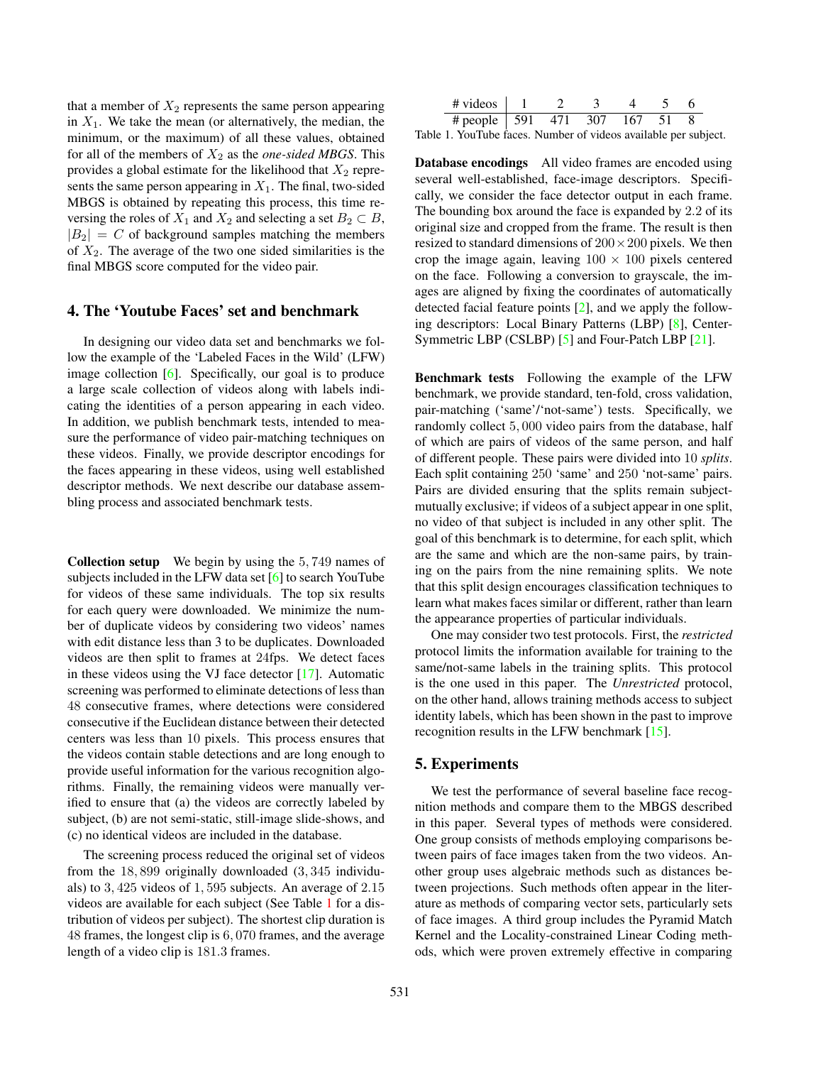<span id="page-2-2"></span>that a member of  $X_2$  represents the same person appearing in  $X_1$ . We take the mean (or alternatively, the median, the minimum, or the maximum) of all these values, obtained for all of the members of  $X_2$  as the *one-sided MBGS*. This provides a global estimate for the likelihood that  $X_2$  represents the same person appearing in  $X_1$ . The final, two-sided MBGS is obtained by repeating this process, this time reversing the roles of  $X_1$  and  $X_2$  and selecting a set  $B_2 \subset B$ ,  $|B_2| = C$  of background samples matching the members of  $X_2$ . The average of the two one sided similarities is the final MBGS score computed for the video pair.

## 4. The 'Youtube Faces' set and benchmark

In designing our video data set and benchmarks we follow the example of the 'Labeled Faces in the Wild' (LFW) image collection [\[6\]](#page-5-3). Specifically, our goal is to produce a large scale collection of videos along with labels indicating the identities of a person appearing in each video. In addition, we publish benchmark tests, intended to measure the performance of video pair-matching techniques on these videos. Finally, we provide descriptor encodings for the faces appearing in these videos, using well established descriptor methods. We next describe our database assembling process and associated benchmark tests.

Collection setup We begin by using the 5, 749 names of subjects included in the LFW data set [\[6\]](#page-5-3) to search YouTube for videos of these same individuals. The top six results for each query were downloaded. We minimize the number of duplicate videos by considering two videos' names with edit distance less than 3 to be duplicates. Downloaded videos are then split to frames at 24fps. We detect faces in these videos using the VJ face detector [\[17\]](#page-5-19). Automatic screening was performed to eliminate detections of less than 48 consecutive frames, where detections were considered consecutive if the Euclidean distance between their detected centers was less than 10 pixels. This process ensures that the videos contain stable detections and are long enough to provide useful information for the various recognition algorithms. Finally, the remaining videos were manually verified to ensure that (a) the videos are correctly labeled by subject, (b) are not semi-static, still-image slide-shows, and (c) no identical videos are included in the database.

The screening process reduced the original set of videos from the 18, 899 originally downloaded (3, 345 individuals) to 3, 425 videos of 1, 595 subjects. An average of 2.15 videos are available for each subject (See Table [1](#page-2-1) for a distribution of videos per subject). The shortest clip duration is 48 frames, the longest clip is 6, 070 frames, and the average length of a video clip is 181.3 frames.

<span id="page-2-1"></span>

| videos<br>Ħ.                  | $\mathbf{1}$ |  |  |  |
|-------------------------------|--------------|--|--|--|
| # people   591 471 307 167 51 |              |  |  |  |

Table 1. YouTube faces. Number of videos available per subject.

Database encodings All video frames are encoded using several well-established, face-image descriptors. Specifically, we consider the face detector output in each frame. The bounding box around the face is expanded by 2.2 of its original size and cropped from the frame. The result is then resized to standard dimensions of  $200 \times 200$  pixels. We then crop the image again, leaving  $100 \times 100$  pixels centered on the face. Following a conversion to grayscale, the images are aligned by fixing the coordinates of automatically detected facial feature points [\[2\]](#page-4-0), and we apply the following descriptors: Local Binary Patterns (LBP) [\[8\]](#page-5-18), Center-Symmetric LBP (CSLBP) [\[5\]](#page-5-20) and Four-Patch LBP [\[21\]](#page-5-17).

<span id="page-2-0"></span>Benchmark tests Following the example of the LFW benchmark, we provide standard, ten-fold, cross validation, pair-matching ('same'/'not-same') tests. Specifically, we randomly collect 5, 000 video pairs from the database, half of which are pairs of videos of the same person, and half of different people. These pairs were divided into 10 *splits*. Each split containing 250 'same' and 250 'not-same' pairs. Pairs are divided ensuring that the splits remain subjectmutually exclusive; if videos of a subject appear in one split, no video of that subject is included in any other split. The goal of this benchmark is to determine, for each split, which are the same and which are the non-same pairs, by training on the pairs from the nine remaining splits. We note that this split design encourages classification techniques to learn what makes faces similar or different, rather than learn the appearance properties of particular individuals.

One may consider two test protocols. First, the *restricted* protocol limits the information available for training to the same/not-same labels in the training splits. This protocol is the one used in this paper. The *Unrestricted* protocol, on the other hand, allows training methods access to subject identity labels, which has been shown in the past to improve recognition results in the LFW benchmark [\[15\]](#page-5-14).

#### 5. Experiments

We test the performance of several baseline face recognition methods and compare them to the MBGS described in this paper. Several types of methods were considered. One group consists of methods employing comparisons between pairs of face images taken from the two videos. Another group uses algebraic methods such as distances between projections. Such methods often appear in the literature as methods of comparing vector sets, particularly sets of face images. A third group includes the Pyramid Match Kernel and the Locality-constrained Linear Coding methods, which were proven extremely effective in comparing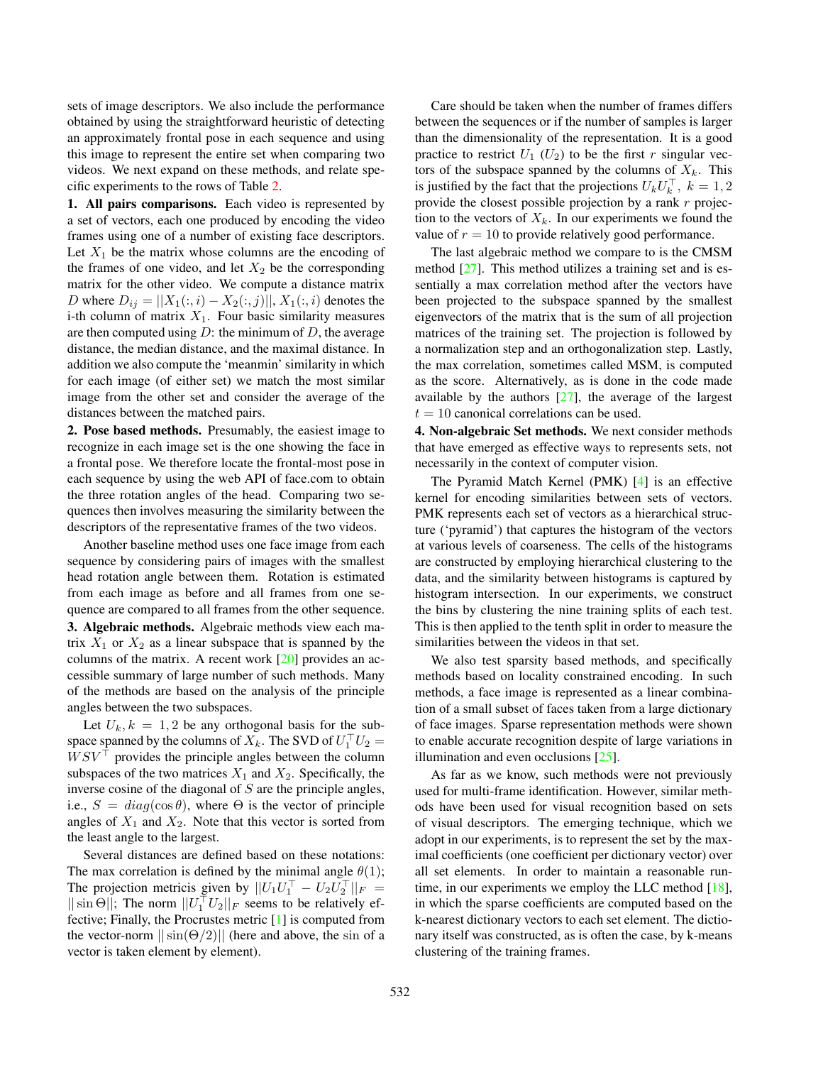<span id="page-3-0"></span>sets of image descriptors. We also include the performance obtained by using the straightforward heuristic of detecting an approximately frontal pose in each sequence and using this image to represent the entire set when comparing two videos. We next expand on these methods, and relate specific experiments to the rows of Table [2.](#page-5-21)

1. All pairs comparisons. Each video is represented by a set of vectors, each one produced by encoding the video frames using one of a number of existing face descriptors. Let  $X_1$  be the matrix whose columns are the encoding of the frames of one video, and let  $X_2$  be the corresponding matrix for the other video. We compute a distance matrix D where  $D_{ij} = ||X_1(:, i) - X_2(:, j)||$ ,  $X_1(:, i)$  denotes the i-th column of matrix  $X_1$ . Four basic similarity measures are then computed using  $D$ : the minimum of  $D$ , the average distance, the median distance, and the maximal distance. In addition we also compute the 'meanmin' similarity in which for each image (of either set) we match the most similar image from the other set and consider the average of the distances between the matched pairs.

2. Pose based methods. Presumably, the easiest image to recognize in each image set is the one showing the face in a frontal pose. We therefore locate the frontal-most pose in each sequence by using the web API of face.com to obtain the three rotation angles of the head. Comparing two sequences then involves measuring the similarity between the descriptors of the representative frames of the two videos.

Another baseline method uses one face image from each sequence by considering pairs of images with the smallest head rotation angle between them. Rotation is estimated from each image as before and all frames from one sequence are compared to all frames from the other sequence. 3. Algebraic methods. Algebraic methods view each matrix  $X_1$  or  $X_2$  as a linear subspace that is spanned by the columns of the matrix. A recent work  $[20]$  provides an accessible summary of large number of such methods. Many of the methods are based on the analysis of the principle angles between the two subspaces.

Let  $U_k$ ,  $k = 1, 2$  be any orthogonal basis for the subspace spanned by the columns of  $X_k$ . The SVD of  $U_1^{\top} U_2 =$  $WSV^{\top}$  provides the principle angles between the column subspaces of the two matrices  $X_1$  and  $X_2$ . Specifically, the inverse cosine of the diagonal of  $S$  are the principle angles, i.e.,  $S = diag(cos \theta)$ , where  $\Theta$  is the vector of principle angles of  $X_1$  and  $X_2$ . Note that this vector is sorted from the least angle to the largest.

Several distances are defined based on these notations: The max correlation is defined by the minimal angle  $\theta(1)$ ; The projection metricis given by  $||U_1U_1^{\top} - U_2U_2^{\top}||_F =$  $||\sin\Theta||$ ; The norm  $||U_1^\top U_2||_F$  seems to be relatively effective; Finally, the Procrustes metric [\[1\]](#page-4-1) is computed from the vector-norm  $||\sin(\Theta/2)||$  (here and above, the sin of a vector is taken element by element).

Care should be taken when the number of frames differs between the sequences or if the number of samples is larger than the dimensionality of the representation. It is a good practice to restrict  $U_1$  ( $U_2$ ) to be the first r singular vectors of the subspace spanned by the columns of  $X_k$ . This is justified by the fact that the projections  $U_k U_k^{\top}$ ,  $k = 1, 2$ provide the closest possible projection by a rank  $r$  projection to the vectors of  $X_k$ . In our experiments we found the value of  $r = 10$  to provide relatively good performance.

The last algebraic method we compare to is the CMSM method  $[27]$ . This method utilizes a training set and is essentially a max correlation method after the vectors have been projected to the subspace spanned by the smallest eigenvectors of the matrix that is the sum of all projection matrices of the training set. The projection is followed by a normalization step and an orthogonalization step. Lastly, the max correlation, sometimes called MSM, is computed as the score. Alternatively, as is done in the code made available by the authors  $[27]$ , the average of the largest  $t = 10$  canonical correlations can be used.

4. Non-algebraic Set methods. We next consider methods that have emerged as effective ways to represents sets, not necessarily in the context of computer vision.

The Pyramid Match Kernel (PMK) [\[4\]](#page-5-23) is an effective kernel for encoding similarities between sets of vectors. PMK represents each set of vectors as a hierarchical structure ('pyramid') that captures the histogram of the vectors at various levels of coarseness. The cells of the histograms are constructed by employing hierarchical clustering to the data, and the similarity between histograms is captured by histogram intersection. In our experiments, we construct the bins by clustering the nine training splits of each test. This is then applied to the tenth split in order to measure the similarities between the videos in that set.

We also test sparsity based methods, and specifically methods based on locality constrained encoding. In such methods, a face image is represented as a linear combination of a small subset of faces taken from a large dictionary of face images. Sparse representation methods were shown to enable accurate recognition despite of large variations in illumination and even occlusions [\[25\]](#page-5-24).

As far as we know, such methods were not previously used for multi-frame identification. However, similar methods have been used for visual recognition based on sets of visual descriptors. The emerging technique, which we adopt in our experiments, is to represent the set by the maximal coefficients (one coefficient per dictionary vector) over all set elements. In order to maintain a reasonable runtime, in our experiments we employ the LLC method [\[18\]](#page-5-25), in which the sparse coefficients are computed based on the k-nearest dictionary vectors to each set element. The dictionary itself was constructed, as is often the case, by k-means clustering of the training frames.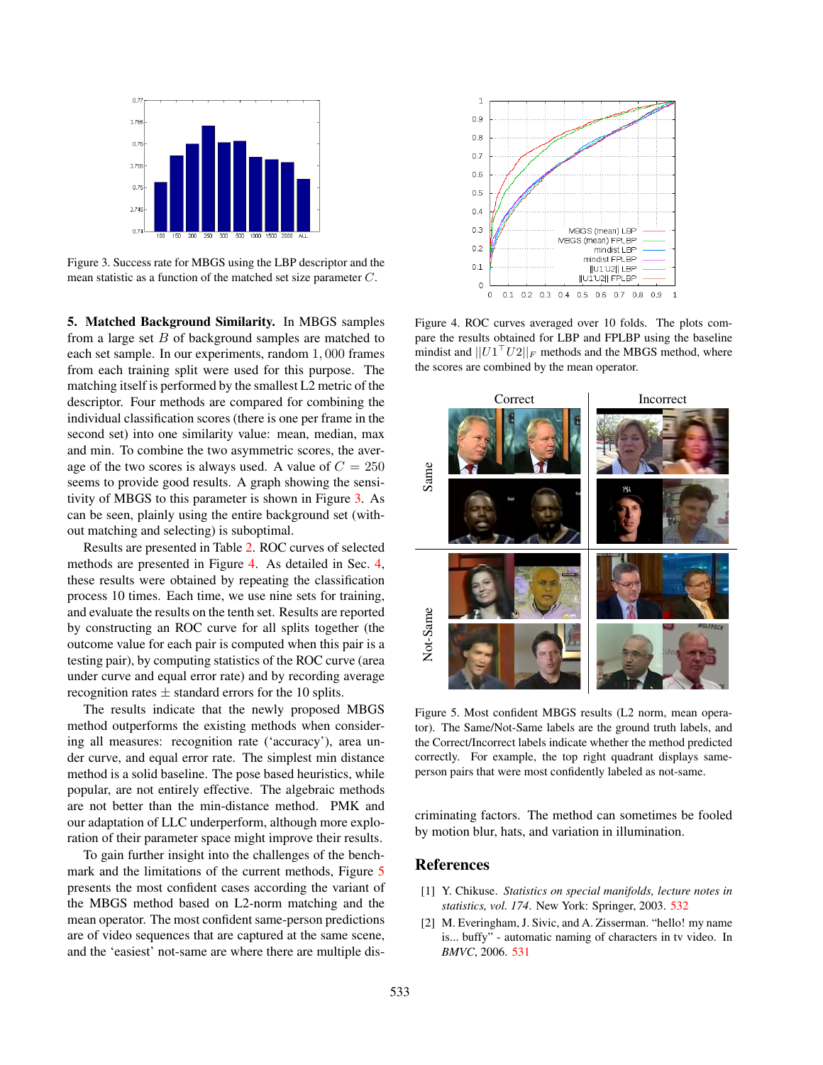

<span id="page-4-2"></span>Figure 3. Success rate for MBGS using the LBP descriptor and the mean statistic as a function of the matched set size parameter C.

5. Matched Background Similarity. In MBGS samples from a large set  $B$  of background samples are matched to each set sample. In our experiments, random 1, 000 frames from each training split were used for this purpose. The matching itself is performed by the smallest L2 metric of the descriptor. Four methods are compared for combining the individual classification scores (there is one per frame in the second set) into one similarity value: mean, median, max and min. To combine the two asymmetric scores, the average of the two scores is always used. A value of  $C = 250$ seems to provide good results. A graph showing the sensitivity of MBGS to this parameter is shown in Figure [3.](#page-4-2) As can be seen, plainly using the entire background set (without matching and selecting) is suboptimal.

Results are presented in Table [2.](#page-5-21) ROC curves of selected methods are presented in Figure [4.](#page-4-3) As detailed in Sec. [4,](#page-2-0) these results were obtained by repeating the classification process 10 times. Each time, we use nine sets for training, and evaluate the results on the tenth set. Results are reported by constructing an ROC curve for all splits together (the outcome value for each pair is computed when this pair is a testing pair), by computing statistics of the ROC curve (area under curve and equal error rate) and by recording average recognition rates  $\pm$  standard errors for the 10 splits.

The results indicate that the newly proposed MBGS method outperforms the existing methods when considering all measures: recognition rate ('accuracy'), area under curve, and equal error rate. The simplest min distance method is a solid baseline. The pose based heuristics, while popular, are not entirely effective. The algebraic methods are not better than the min-distance method. PMK and our adaptation of LLC underperform, although more exploration of their parameter space might improve their results.

To gain further insight into the challenges of the benchmark and the limitations of the current methods, Figure [5](#page-4-4) presents the most confident cases according the variant of the MBGS method based on L2-norm matching and the mean operator. The most confident same-person predictions are of video sequences that are captured at the same scene, and the 'easiest' not-same are where there are multiple dis-



<span id="page-4-3"></span>Figure 4. ROC curves averaged over 10 folds. The plots compare the results obtained for LBP and FPLBP using the baseline mindist and  $||U1^\top U2||_F$  methods and the MBGS method, where the scores are combined by the mean operator.



<span id="page-4-4"></span>Figure 5. Most confident MBGS results (L2 norm, mean operator). The Same/Not-Same labels are the ground truth labels, and the Correct/Incorrect labels indicate whether the method predicted correctly. For example, the top right quadrant displays sameperson pairs that were most confidently labeled as not-same.

criminating factors. The method can sometimes be fooled by motion blur, hats, and variation in illumination.

#### References

- <span id="page-4-1"></span>[1] Y. Chikuse. *Statistics on special manifolds, lecture notes in statistics, vol. 174*. New York: Springer, 2003. [532](#page-3-0)
- <span id="page-4-0"></span>[2] M. Everingham, J. Sivic, and A. Zisserman. "hello! my name is... buffy" - automatic naming of characters in tv video. In *BMVC*, 2006. [531](#page-2-2)